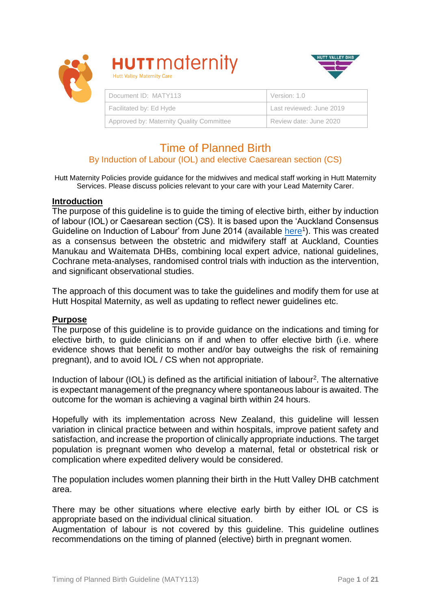



# Time of Planned Birth

## By Induction of Labour (IOL) and elective Caesarean section (CS)

Hutt Maternity Policies provide guidance for the midwives and medical staff working in Hutt Maternity Services. Please discuss policies relevant to your care with your Lead Maternity Carer.

#### **Introduction**

The purpose of this guideline is to guide the timing of elective birth, either by induction of labour (IOL) or Caesarean section (CS). It is based upon the 'Auckland Consensus Guideline on Induction of Labour' from June 2014 (available [here](http://nationalwomenshealth.adhb.govt.nz/Portals/0/Documents/Referral%20forms/FINAL%20Auckland%20IOL%20consensus%20guideline.pdf)<sup>1</sup>). This was created as a consensus between the obstetric and midwifery staff at Auckland, Counties Manukau and Waitemata DHBs, combining local expert advice, national guidelines, Cochrane meta-analyses, randomised control trials with induction as the intervention, and significant observational studies.

The approach of this document was to take the guidelines and modify them for use at Hutt Hospital Maternity, as well as updating to reflect newer guidelines etc.

#### **Purpose**

The purpose of this guideline is to provide guidance on the indications and timing for elective birth, to guide clinicians on if and when to offer elective birth (i.e. where evidence shows that benefit to mother and/or bay outweighs the risk of remaining pregnant), and to avoid IOL / CS when not appropriate.

Induction of labour (IOL) is defined as the artificial initiation of labour<sup>2</sup>. The alternative is expectant management of the pregnancy where spontaneous labour is awaited. The outcome for the woman is achieving a vaginal birth within 24 hours.

Hopefully with its implementation across New Zealand, this guideline will lessen variation in clinical practice between and within hospitals, improve patient safety and satisfaction, and increase the proportion of clinically appropriate inductions. The target population is pregnant women who develop a maternal, fetal or obstetrical risk or complication where expedited delivery would be considered.

The population includes women planning their birth in the Hutt Valley DHB catchment area.

There may be other situations where elective early birth by either IOL or CS is appropriate based on the individual clinical situation.

Augmentation of labour is not covered by this guideline. This guideline outlines recommendations on the timing of planned (elective) birth in pregnant women.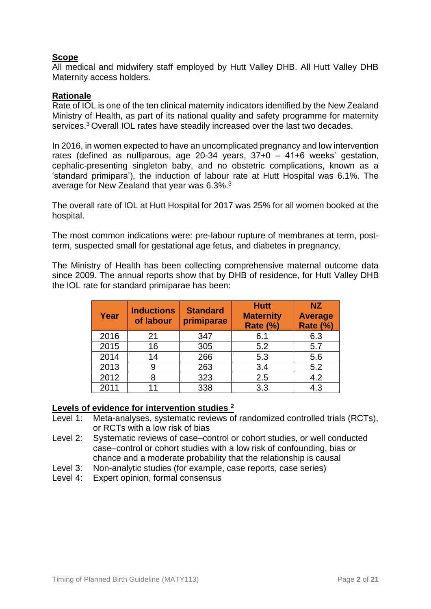## **Scope**

All medical and midwifery staff employed by Hutt Valley DHB. All Hutt Valley DHB Maternity access holders.

#### **Rationale**

Rate of IOL is one of the ten clinical maternity indicators identified by the New Zealand Ministry of Health, as part of its national quality and safety programme for maternity services.<sup>3</sup>Overall IOL rates have steadily increased over the last two decades.

In 2016, in women expected to have an uncomplicated pregnancy and low intervention rates (defined as nulliparous, age 20-34 years, 37+0 – 41+6 weeks' gestation, cephalic-presenting singleton baby, and no obstetric complications, known as a 'standard primipara'), the induction of labour rate at Hutt Hospital was 6.1%. The average for New Zealand that year was 6.3%.<sup>3</sup>

The overall rate of IOL at Hutt Hospital for 2017 was 25% for all women booked at the hospital.

The most common indications were: pre-labour rupture of membranes at term, postterm, suspected small for gestational age fetus, and diabetes in pregnancy.

The Ministry of Health has been collecting comprehensive maternal outcome data since 2009. The annual reports show that by DHB of residence, for Hutt Valley DHB the IOL rate for standard primiparae has been:

| Year | <b>Inductions</b><br>of labour | <b>Standard</b><br>primiparae | <b>Hutt</b><br><b>Maternity</b><br><b>Rate (%)</b> | <b>NZ</b><br><b>Average</b><br><b>Rate (%)</b> |
|------|--------------------------------|-------------------------------|----------------------------------------------------|------------------------------------------------|
| 2016 | 21                             | 347                           | 6.1                                                | 6.3                                            |
| 2015 | 16                             | 305                           | 5.2                                                | 5.7                                            |
| 2014 | 14                             | 266                           | 5.3                                                | 5.6                                            |
| 2013 | 9                              | 263                           | 3.4                                                | 5.2                                            |
| 2012 | 8                              | 323                           | 2.5                                                | 4.2                                            |
| 2011 | 11                             | 338                           | 3.3                                                | 4.3                                            |

#### **Levels of evidence for intervention studies <sup>2</sup>**

- Level 1: Meta-analyses, systematic reviews of randomized controlled trials (RCTs), or RCTs with a low risk of bias
- Level 2: Systematic reviews of case–control or cohort studies, or well conducted case–control or cohort studies with a low risk of confounding, bias or chance and a moderate probability that the relationship is causal
- Level 3: Non-analytic studies (for example, case reports, case series)
- Level 4: Expert opinion, formal consensus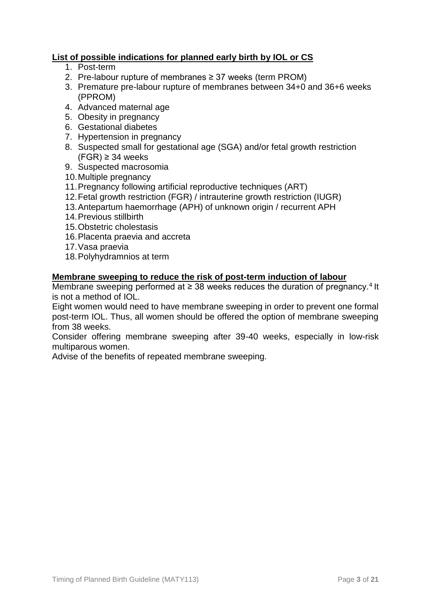# **List of possible indications for planned early birth by IOL or CS**

- 1. Post-term
- 2. Pre-labour rupture of membranes ≥ 37 weeks (term PROM)
- 3. Premature pre-labour rupture of membranes between 34+0 and 36+6 weeks (PPROM)
- 4. Advanced maternal age
- 5. Obesity in pregnancy
- 6. Gestational diabetes
- 7. Hypertension in pregnancy
- 8. Suspected small for gestational age (SGA) and/or fetal growth restriction  $(FGR) \geq 34$  weeks
- 9. Suspected macrosomia
- 10.Multiple pregnancy
- 11.Pregnancy following artificial reproductive techniques (ART)
- 12.Fetal growth restriction (FGR) / intrauterine growth restriction (IUGR)
- 13.Antepartum haemorrhage (APH) of unknown origin / recurrent APH
- 14.Previous stillbirth
- 15.Obstetric cholestasis
- 16.Placenta praevia and accreta
- 17.Vasa praevia
- 18.Polyhydramnios at term

#### **Membrane sweeping to reduce the risk of post-term induction of labour**

Membrane sweeping performed at  $\geq$  38 weeks reduces the duration of pregnancy.<sup>4</sup> It is not a method of IOL.

Eight women would need to have membrane sweeping in order to prevent one formal post-term IOL. Thus, all women should be offered the option of membrane sweeping from 38 weeks.

Consider offering membrane sweeping after 39-40 weeks, especially in low-risk multiparous women.

Advise of the benefits of repeated membrane sweeping.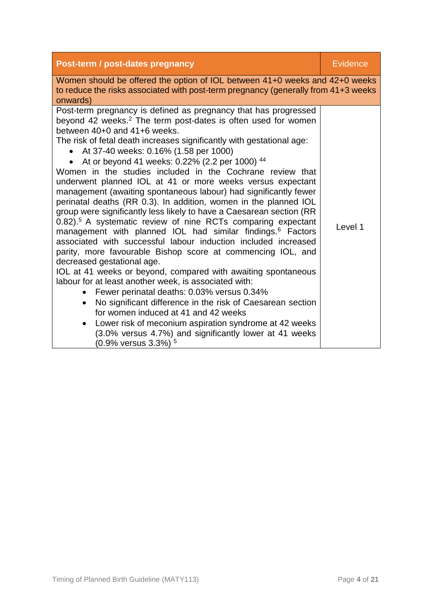| Post-term / post-dates pregnancy                                                                                                                                                                                                                                                                                                                                                                                                                                                                                                                                                                                                                                                                                                                                                                                                                                                                                                                                                                                                                                                                                                                                                                                                                                                                                                                                                                                                                           | <b>Evidence</b> |
|------------------------------------------------------------------------------------------------------------------------------------------------------------------------------------------------------------------------------------------------------------------------------------------------------------------------------------------------------------------------------------------------------------------------------------------------------------------------------------------------------------------------------------------------------------------------------------------------------------------------------------------------------------------------------------------------------------------------------------------------------------------------------------------------------------------------------------------------------------------------------------------------------------------------------------------------------------------------------------------------------------------------------------------------------------------------------------------------------------------------------------------------------------------------------------------------------------------------------------------------------------------------------------------------------------------------------------------------------------------------------------------------------------------------------------------------------------|-----------------|
| Women should be offered the option of IOL between 41+0 weeks and 42+0 weeks<br>to reduce the risks associated with post-term pregnancy (generally from 41+3 weeks<br>onwards)                                                                                                                                                                                                                                                                                                                                                                                                                                                                                                                                                                                                                                                                                                                                                                                                                                                                                                                                                                                                                                                                                                                                                                                                                                                                              |                 |
| Post-term pregnancy is defined as pregnancy that has progressed<br>beyond 42 weeks. <sup>2</sup> The term post-dates is often used for women<br>between 40+0 and 41+6 weeks.<br>The risk of fetal death increases significantly with gestational age:<br>At 37-40 weeks: 0.16% (1.58 per 1000)<br>At or beyond 41 weeks: 0.22% (2.2 per 1000) 44<br>Women in the studies included in the Cochrane review that<br>underwent planned IOL at 41 or more weeks versus expectant<br>management (awaiting spontaneous labour) had significantly fewer<br>perinatal deaths (RR 0.3). In addition, women in the planned IOL<br>group were significantly less likely to have a Caesarean section (RR<br>0.82). <sup>5</sup> A systematic review of nine RCTs comparing expectant<br>management with planned IOL had similar findings. <sup>6</sup> Factors<br>associated with successful labour induction included increased<br>parity, more favourable Bishop score at commencing IOL, and<br>decreased gestational age.<br>IOL at 41 weeks or beyond, compared with awaiting spontaneous<br>labour for at least another week, is associated with:<br>Fewer perinatal deaths: 0.03% versus 0.34%<br>No significant difference in the risk of Caesarean section<br>$\bullet$<br>for women induced at 41 and 42 weeks<br>Lower risk of meconium aspiration syndrome at 42 weeks<br>(3.0% versus 4.7%) and significantly lower at 41 weeks<br>(0.9% versus 3.3%) $^5$ | Level 1         |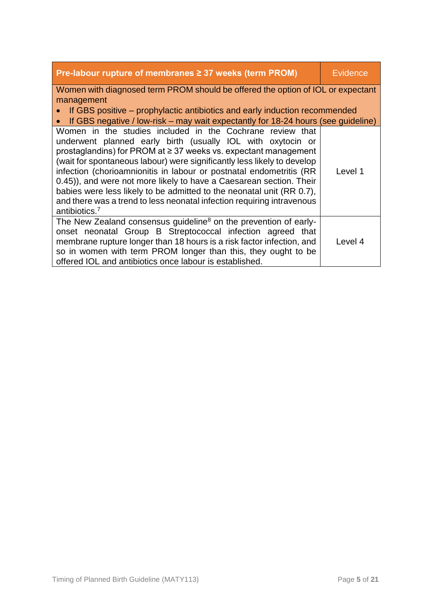| <b>Pre-labour rupture of membranes <math>\geq</math> 37 weeks (term PROM)</b>                                                                                                                                                                                                                                                                                                                                                                                                                                                                                                                    | Evidence |
|--------------------------------------------------------------------------------------------------------------------------------------------------------------------------------------------------------------------------------------------------------------------------------------------------------------------------------------------------------------------------------------------------------------------------------------------------------------------------------------------------------------------------------------------------------------------------------------------------|----------|
| Women with diagnosed term PROM should be offered the option of IOL or expectant                                                                                                                                                                                                                                                                                                                                                                                                                                                                                                                  |          |
| management<br>If GBS positive – prophylactic antibiotics and early induction recommended                                                                                                                                                                                                                                                                                                                                                                                                                                                                                                         |          |
| • If GBS negative / low-risk – may wait expectantly for 18-24 hours (see guideline)                                                                                                                                                                                                                                                                                                                                                                                                                                                                                                              |          |
| Women in the studies included in the Cochrane review that<br>underwent planned early birth (usually IOL with oxytocin or<br>prostaglandins) for PROM at $\geq$ 37 weeks vs. expectant management<br>(wait for spontaneous labour) were significantly less likely to develop<br>infection (chorioamnionitis in labour or postnatal endometritis (RR<br>0.45)), and were not more likely to have a Caesarean section. Their<br>babies were less likely to be admitted to the neonatal unit (RR 0.7),<br>and there was a trend to less neonatal infection requiring intravenous<br>antibiotics. $7$ | Level 1  |
| The New Zealand consensus guideline <sup>8</sup> on the prevention of early-<br>onset neonatal Group B Streptococcal infection agreed that<br>membrane rupture longer than 18 hours is a risk factor infection, and<br>so in women with term PROM longer than this, they ought to be<br>offered IOL and antibiotics once labour is established.                                                                                                                                                                                                                                                  | Level 4  |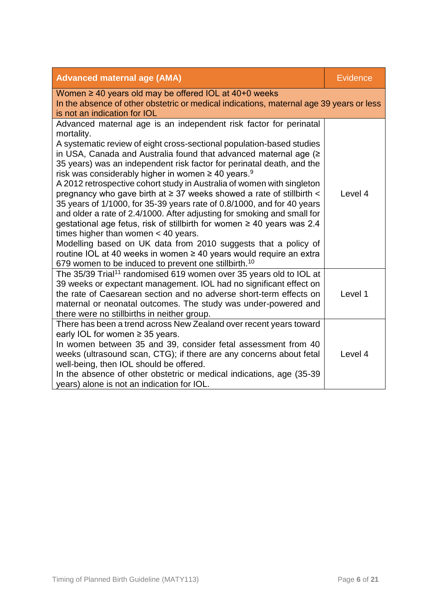| <b>Advanced maternal age (AMA)</b>                                                                                                                                                                                                                                                                                                                                                                                                                                                                                                                                                                                                                                                                                                                                                                                                                                                                                                                                                                                               | <b>Evidence</b> |
|----------------------------------------------------------------------------------------------------------------------------------------------------------------------------------------------------------------------------------------------------------------------------------------------------------------------------------------------------------------------------------------------------------------------------------------------------------------------------------------------------------------------------------------------------------------------------------------------------------------------------------------------------------------------------------------------------------------------------------------------------------------------------------------------------------------------------------------------------------------------------------------------------------------------------------------------------------------------------------------------------------------------------------|-----------------|
| Women $\geq 40$ years old may be offered IOL at 40+0 weeks<br>In the absence of other obstetric or medical indications, maternal age 39 years or less<br>is not an indication for IOL                                                                                                                                                                                                                                                                                                                                                                                                                                                                                                                                                                                                                                                                                                                                                                                                                                            |                 |
| Advanced maternal age is an independent risk factor for perinatal<br>mortality.<br>A systematic review of eight cross-sectional population-based studies<br>in USA, Canada and Australia found that advanced maternal age (><br>35 years) was an independent risk factor for perinatal death, and the<br>risk was considerably higher in women $\geq 40$ years. <sup>9</sup><br>A 2012 retrospective cohort study in Australia of women with singleton<br>pregnancy who gave birth at $\geq$ 37 weeks showed a rate of stillbirth $\lt$<br>35 years of 1/1000, for 35-39 years rate of 0.8/1000, and for 40 years<br>and older a rate of 2.4/1000. After adjusting for smoking and small for<br>gestational age fetus, risk of stillbirth for women ≥ 40 years was 2.4<br>times higher than women $<$ 40 years.<br>Modelling based on UK data from 2010 suggests that a policy of<br>routine IOL at 40 weeks in women $\geq$ 40 years would require an extra<br>679 women to be induced to prevent one stillbirth. <sup>10</sup> | Level 4         |
| The 35/39 Trial <sup>11</sup> randomised 619 women over 35 years old to IOL at<br>39 weeks or expectant management. IOL had no significant effect on<br>the rate of Caesarean section and no adverse short-term effects on<br>maternal or neonatal outcomes. The study was under-powered and<br>there were no stillbirths in neither group.                                                                                                                                                                                                                                                                                                                                                                                                                                                                                                                                                                                                                                                                                      | Level 1         |
| There has been a trend across New Zealand over recent years toward<br>early IOL for women $\geq$ 35 years.<br>In women between 35 and 39, consider fetal assessment from 40<br>weeks (ultrasound scan, CTG); if there are any concerns about fetal<br>well-being, then IOL should be offered.<br>In the absence of other obstetric or medical indications, age (35-39)<br>years) alone is not an indication for IOL.                                                                                                                                                                                                                                                                                                                                                                                                                                                                                                                                                                                                             | Level 4         |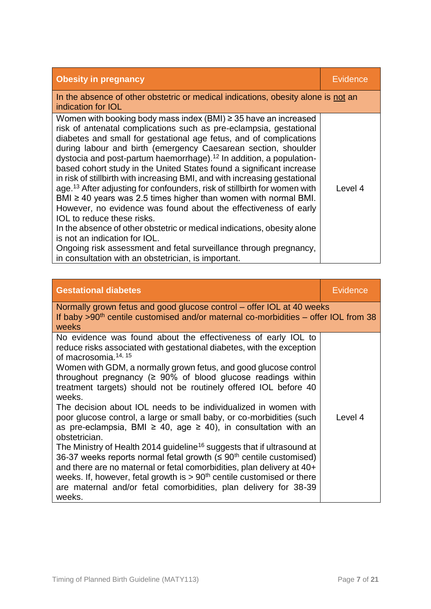| <b>Obesity in pregnancy</b>                                                                                                                                                                                                                                                                                                                                                                                                                                                                                                                                                                                                                                                                                                                                                                                                                                                                                                                                                                                                           | Evidence |
|---------------------------------------------------------------------------------------------------------------------------------------------------------------------------------------------------------------------------------------------------------------------------------------------------------------------------------------------------------------------------------------------------------------------------------------------------------------------------------------------------------------------------------------------------------------------------------------------------------------------------------------------------------------------------------------------------------------------------------------------------------------------------------------------------------------------------------------------------------------------------------------------------------------------------------------------------------------------------------------------------------------------------------------|----------|
| In the absence of other obstetric or medical indications, obesity alone is not an<br>indication for <b>IOL</b>                                                                                                                                                                                                                                                                                                                                                                                                                                                                                                                                                                                                                                                                                                                                                                                                                                                                                                                        |          |
| Women with booking body mass index (BMI) $\geq$ 35 have an increased<br>risk of antenatal complications such as pre-eclampsia, gestational<br>diabetes and small for gestational age fetus, and of complications<br>during labour and birth (emergency Caesarean section, shoulder<br>dystocia and post-partum haemorrhage). <sup>12</sup> In addition, a population-<br>based cohort study in the United States found a significant increase<br>in risk of stillbirth with increasing BMI, and with increasing gestational<br>age. <sup>13</sup> After adjusting for confounders, risk of stillbirth for women with<br>BMI $\geq$ 40 years was 2.5 times higher than women with normal BMI.<br>However, no evidence was found about the effectiveness of early<br>IOL to reduce these risks.<br>In the absence of other obstetric or medical indications, obesity alone<br>is not an indication for IOL.<br>Ongoing risk assessment and fetal surveillance through pregnancy,<br>in consultation with an obstetrician, is important. | Level 4  |

| <b>Gestational diabetes</b>                                                                                                                                                                                                                                                                                                                                                                                                                                                                                                                                                                                                                                                                                                                                                                                                                                                                                                                                                                                                                                 | Evidence |  |
|-------------------------------------------------------------------------------------------------------------------------------------------------------------------------------------------------------------------------------------------------------------------------------------------------------------------------------------------------------------------------------------------------------------------------------------------------------------------------------------------------------------------------------------------------------------------------------------------------------------------------------------------------------------------------------------------------------------------------------------------------------------------------------------------------------------------------------------------------------------------------------------------------------------------------------------------------------------------------------------------------------------------------------------------------------------|----------|--|
| Normally grown fetus and good glucose control – offer IOL at 40 weeks<br>If baby >90 <sup>th</sup> centile customised and/or maternal co-morbidities - offer IOL from 38<br>weeks                                                                                                                                                                                                                                                                                                                                                                                                                                                                                                                                                                                                                                                                                                                                                                                                                                                                           |          |  |
| No evidence was found about the effectiveness of early IOL to<br>reduce risks associated with gestational diabetes, with the exception<br>of macrosomia. <sup>14, 15</sup><br>Women with GDM, a normally grown fetus, and good glucose control<br>throughout pregnancy ( $\geq 90\%$ of blood glucose readings within<br>treatment targets) should not be routinely offered IOL before 40<br>weeks.<br>The decision about IOL needs to be individualized in women with<br>poor glucose control, a large or small baby, or co-morbidities (such<br>as pre-eclampsia, BMI $\geq$ 40, age $\geq$ 40), in consultation with an<br>obstetrician.<br>The Ministry of Health 2014 guideline <sup>16</sup> suggests that if ultrasound at<br>36-37 weeks reports normal fetal growth $($ ≤ 90 <sup>th</sup> centile customised)<br>and there are no maternal or fetal comorbidities, plan delivery at 40+<br>weeks. If, however, fetal growth is $> 90th$ centile customised or there<br>are maternal and/or fetal comorbidities, plan delivery for 38-39<br>weeks. | Level 4  |  |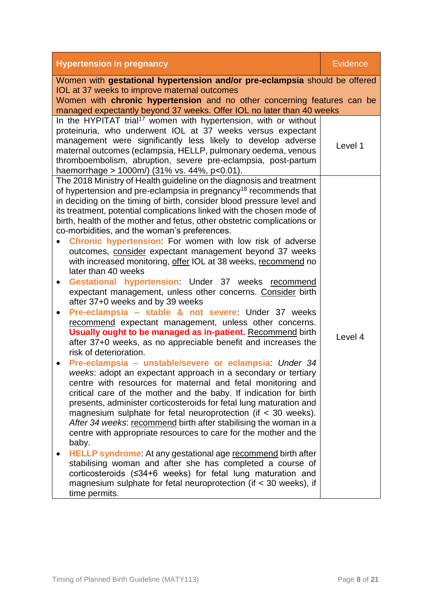| <b>Hypertension in pregnancy</b>                                                                                                                                                                                                                                                                                                                                                                                                                                                                                                                                 | <b>Evidence</b> |  |
|------------------------------------------------------------------------------------------------------------------------------------------------------------------------------------------------------------------------------------------------------------------------------------------------------------------------------------------------------------------------------------------------------------------------------------------------------------------------------------------------------------------------------------------------------------------|-----------------|--|
| Women with gestational hypertension and/or pre-eclampsia should be offered<br>IOL at 37 weeks to improve maternal outcomes                                                                                                                                                                                                                                                                                                                                                                                                                                       |                 |  |
| Women with chronic hypertension and no other concerning features can be                                                                                                                                                                                                                                                                                                                                                                                                                                                                                          |                 |  |
| managed expectantly beyond 37 weeks. Offer IOL no later than 40 weeks                                                                                                                                                                                                                                                                                                                                                                                                                                                                                            |                 |  |
| In the HYPITAT trial <sup>17</sup> women with hypertension, with or without<br>proteinuria, who underwent IOL at 37 weeks versus expectant<br>management were significantly less likely to develop adverse<br>maternal outcomes (eclampsia, HELLP, pulmonary oedema, venous<br>thromboembolism, abruption, severe pre-eclampsia, post-partum<br>haemorrhage > $1000m/$ (31% vs. 44%, p<0.01).                                                                                                                                                                    | Level 1         |  |
| The 2018 Ministry of Health guideline on the diagnosis and treatment                                                                                                                                                                                                                                                                                                                                                                                                                                                                                             |                 |  |
| of hypertension and pre-eclampsia in pregnancy <sup>18</sup> recommends that<br>in deciding on the timing of birth, consider blood pressure level and<br>its treatment, potential complications linked with the chosen mode of<br>birth, health of the mother and fetus, other obstetric complications or                                                                                                                                                                                                                                                        |                 |  |
| co-morbidities, and the woman's preferences.<br>Chronic hypertension: For women with low risk of adverse                                                                                                                                                                                                                                                                                                                                                                                                                                                         |                 |  |
| outcomes, consider expectant management beyond 37 weeks<br>with increased monitoring, offer IOL at 38 weeks, recommend no<br>later than 40 weeks                                                                                                                                                                                                                                                                                                                                                                                                                 |                 |  |
| Gestational hypertension: Under 37 weeks recommend<br>$\bullet$<br>expectant management, unless other concerns. Consider birth<br>after 37+0 weeks and by 39 weeks                                                                                                                                                                                                                                                                                                                                                                                               |                 |  |
| Pre-eclampsia - stable & not severe: Under 37 weeks<br>$\bullet$                                                                                                                                                                                                                                                                                                                                                                                                                                                                                                 |                 |  |
| recommend expectant management, unless other concerns.<br><b>Usually ought to be managed as in-patient. Recommend birth</b><br>after 37+0 weeks, as no appreciable benefit and increases the<br>risk of deterioration.                                                                                                                                                                                                                                                                                                                                           | Level 4         |  |
| Pre-eclampsia - unstable/severe or eclampsia: Under 34<br>$\bullet$<br>weeks: adopt an expectant approach in a secondary or tertiary<br>centre with resources for maternal and fetal monitoring and<br>critical care of the mother and the baby. If indication for birth<br>presents, administer corticosteroids for fetal lung maturation and<br>magnesium sulphate for fetal neuroprotection (if < 30 weeks).<br>After 34 weeks: recommend birth after stabilising the woman in a<br>centre with appropriate resources to care for the mother and the<br>baby. |                 |  |
| <b>HELLP syndrome:</b> At any gestational age recommend birth after<br>stabilising woman and after she has completed a course of<br>corticosteroids $(≤34+6$ weeks) for fetal lung maturation and<br>magnesium sulphate for fetal neuroprotection (if $<$ 30 weeks), if<br>time permits.                                                                                                                                                                                                                                                                         |                 |  |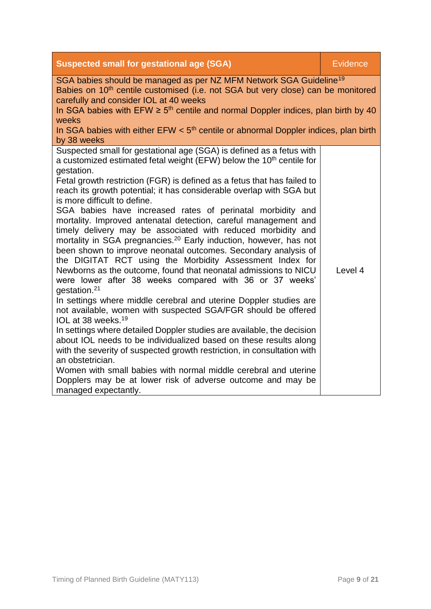| <b>Suspected small for gestational age (SGA)</b>                                                                                                                                                                                                                                                                                                                                                                                                                                                                                                                                                                                                                                                                                                                                                                                                                                                                                                                                                                                                                                                                                                                                                                                                                                                                                                                                                                                                                                                                    | <b>Evidence</b> |
|---------------------------------------------------------------------------------------------------------------------------------------------------------------------------------------------------------------------------------------------------------------------------------------------------------------------------------------------------------------------------------------------------------------------------------------------------------------------------------------------------------------------------------------------------------------------------------------------------------------------------------------------------------------------------------------------------------------------------------------------------------------------------------------------------------------------------------------------------------------------------------------------------------------------------------------------------------------------------------------------------------------------------------------------------------------------------------------------------------------------------------------------------------------------------------------------------------------------------------------------------------------------------------------------------------------------------------------------------------------------------------------------------------------------------------------------------------------------------------------------------------------------|-----------------|
| SGA babies should be managed as per NZ MFM Network SGA Guideline <sup>19</sup><br>Babies on 10 <sup>th</sup> centile customised (i.e. not SGA but very close) can be monitored<br>carefully and consider IOL at 40 weeks<br>In SGA babies with EFW $\geq 5$ <sup>th</sup> centile and normal Doppler indices, plan birth by 40<br>weeks<br>In SGA babies with either $EFW < 5th$ centile or abnormal Doppler indices, plan birth<br>by 38 weeks                                                                                                                                                                                                                                                                                                                                                                                                                                                                                                                                                                                                                                                                                                                                                                                                                                                                                                                                                                                                                                                                     |                 |
| Suspected small for gestational age (SGA) is defined as a fetus with<br>a customized estimated fetal weight (EFW) below the 10 <sup>th</sup> centile for<br>gestation.<br>Fetal growth restriction (FGR) is defined as a fetus that has failed to<br>reach its growth potential; it has considerable overlap with SGA but<br>is more difficult to define.<br>SGA babies have increased rates of perinatal morbidity and<br>mortality. Improved antenatal detection, careful management and<br>timely delivery may be associated with reduced morbidity and<br>mortality in SGA pregnancies. <sup>20</sup> Early induction, however, has not<br>been shown to improve neonatal outcomes. Secondary analysis of<br>the DIGITAT RCT using the Morbidity Assessment Index for<br>Newborns as the outcome, found that neonatal admissions to NICU<br>were lower after 38 weeks compared with 36 or 37 weeks'<br>gestation. <sup>21</sup><br>In settings where middle cerebral and uterine Doppler studies are<br>not available, women with suspected SGA/FGR should be offered<br>IOL at 38 weeks. <sup>19</sup><br>In settings where detailed Doppler studies are available, the decision<br>about IOL needs to be individualized based on these results along<br>with the severity of suspected growth restriction, in consultation with<br>an obstetrician.<br>Women with small babies with normal middle cerebral and uterine<br>Dopplers may be at lower risk of adverse outcome and may be<br>managed expectantly. | Level 4         |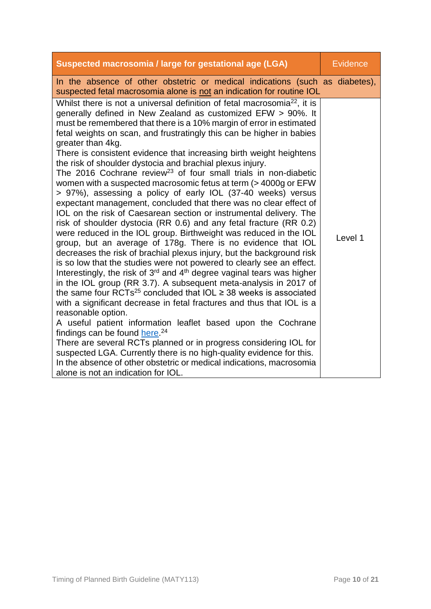| Suspected macrosomia / large for gestational age (LGA)                                                                                                                                                                                                                                                                                                                                                                                                                                                                                                                                                                                                                                                                                                                                                                                                                                                                                                                                                                                                                                                                                                                                                                                                                                                                                                                                                                                                                                                                                                                                                                                                                                                                                                                                                                                                                                                                     | <b>Evidence</b> |
|----------------------------------------------------------------------------------------------------------------------------------------------------------------------------------------------------------------------------------------------------------------------------------------------------------------------------------------------------------------------------------------------------------------------------------------------------------------------------------------------------------------------------------------------------------------------------------------------------------------------------------------------------------------------------------------------------------------------------------------------------------------------------------------------------------------------------------------------------------------------------------------------------------------------------------------------------------------------------------------------------------------------------------------------------------------------------------------------------------------------------------------------------------------------------------------------------------------------------------------------------------------------------------------------------------------------------------------------------------------------------------------------------------------------------------------------------------------------------------------------------------------------------------------------------------------------------------------------------------------------------------------------------------------------------------------------------------------------------------------------------------------------------------------------------------------------------------------------------------------------------------------------------------------------------|-----------------|
| In the absence of other obstetric or medical indications (such as diabetes),<br>suspected fetal macrosomia alone is not an indication for routine IOL                                                                                                                                                                                                                                                                                                                                                                                                                                                                                                                                                                                                                                                                                                                                                                                                                                                                                                                                                                                                                                                                                                                                                                                                                                                                                                                                                                                                                                                                                                                                                                                                                                                                                                                                                                      |                 |
| Whilst there is not a universal definition of fetal macrosomia <sup>22</sup> , it is<br>generally defined in New Zealand as customized EFW > 90%. It<br>must be remembered that there is a 10% margin of error in estimated<br>fetal weights on scan, and frustratingly this can be higher in babies<br>greater than 4kg.<br>There is consistent evidence that increasing birth weight heightens<br>the risk of shoulder dystocia and brachial plexus injury.<br>The 2016 Cochrane review <sup>23</sup> of four small trials in non-diabetic<br>women with a suspected macrosomic fetus at term (> 4000g or EFW<br>> 97%), assessing a policy of early IOL (37-40 weeks) versus<br>expectant management, concluded that there was no clear effect of<br>IOL on the risk of Caesarean section or instrumental delivery. The<br>risk of shoulder dystocia (RR 0.6) and any fetal fracture (RR 0.2)<br>were reduced in the IOL group. Birthweight was reduced in the IOL<br>group, but an average of 178g. There is no evidence that IOL<br>decreases the risk of brachial plexus injury, but the background risk<br>is so low that the studies were not powered to clearly see an effect.<br>Interestingly, the risk of 3 <sup>rd</sup> and 4 <sup>th</sup> degree vaginal tears was higher<br>in the IOL group (RR 3.7). A subsequent meta-analysis in 2017 of<br>the same four RCTs <sup>25</sup> concluded that IOL $\geq$ 38 weeks is associated<br>with a significant decrease in fetal fractures and thus that IOL is a<br>reasonable option.<br>A useful patient information leaflet based upon the Cochrane<br>findings can be found here. <sup>24</sup><br>There are several RCTs planned or in progress considering IOL for<br>suspected LGA. Currently there is no high-quality evidence for this.<br>In the absence of other obstetric or medical indications, macrosomia<br>alone is not an indication for IOL. | Level 1         |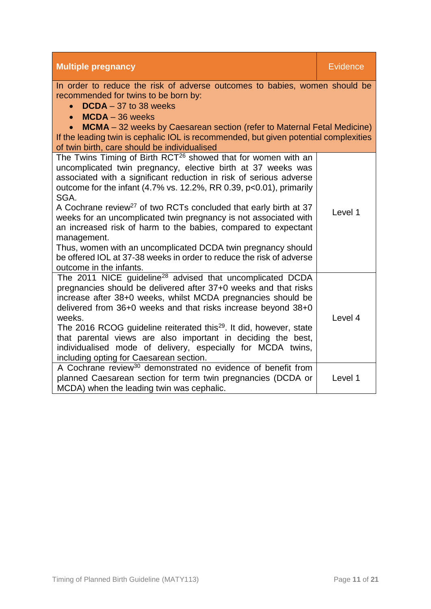| <b>Multiple pregnancy</b>                                                                                                                                                                                                                                                                                                                                                                                                                                                                                                                                                                                                                                                                                                            | <b>Evidence</b> |
|--------------------------------------------------------------------------------------------------------------------------------------------------------------------------------------------------------------------------------------------------------------------------------------------------------------------------------------------------------------------------------------------------------------------------------------------------------------------------------------------------------------------------------------------------------------------------------------------------------------------------------------------------------------------------------------------------------------------------------------|-----------------|
| In order to reduce the risk of adverse outcomes to babies, women should be<br>recommended for twins to be born by:<br>$DCDA - 37$ to 38 weeks<br>$MCDA - 36$ weeks<br><b>MCMA</b> – 32 weeks by Caesarean section (refer to Maternal Fetal Medicine)<br>$\bullet$<br>If the leading twin is cephalic IOL is recommended, but given potential complexities<br>of twin birth, care should be individualised                                                                                                                                                                                                                                                                                                                            |                 |
| The Twins Timing of Birth RCT <sup>26</sup> showed that for women with an<br>uncomplicated twin pregnancy, elective birth at 37 weeks was<br>associated with a significant reduction in risk of serious adverse<br>outcome for the infant $(4.7\% \text{ vs. } 12.2\%, \text{ RR } 0.39, \text{ p<0.01}),$ primarily<br>SGA.<br>A Cochrane review <sup>27</sup> of two RCTs concluded that early birth at 37<br>weeks for an uncomplicated twin pregnancy is not associated with<br>an increased risk of harm to the babies, compared to expectant<br>management.<br>Thus, women with an uncomplicated DCDA twin pregnancy should<br>be offered IOL at 37-38 weeks in order to reduce the risk of adverse<br>outcome in the infants. | Level 1         |
| The 2011 NICE guideline <sup>28</sup> advised that uncomplicated DCDA<br>pregnancies should be delivered after 37+0 weeks and that risks<br>increase after 38+0 weeks, whilst MCDA pregnancies should be<br>delivered from 36+0 weeks and that risks increase beyond 38+0<br>weeks.<br>The 2016 RCOG guideline reiterated this <sup>29</sup> . It did, however, state<br>that parental views are also important in deciding the best,<br>individualised mode of delivery, especially for MCDA twins,<br>including opting for Caesarean section.                                                                                                                                                                                      | Level 4         |
| A Cochrane review <sup>30</sup> demonstrated no evidence of benefit from<br>planned Caesarean section for term twin pregnancies (DCDA or<br>MCDA) when the leading twin was cephalic.                                                                                                                                                                                                                                                                                                                                                                                                                                                                                                                                                | Level 1         |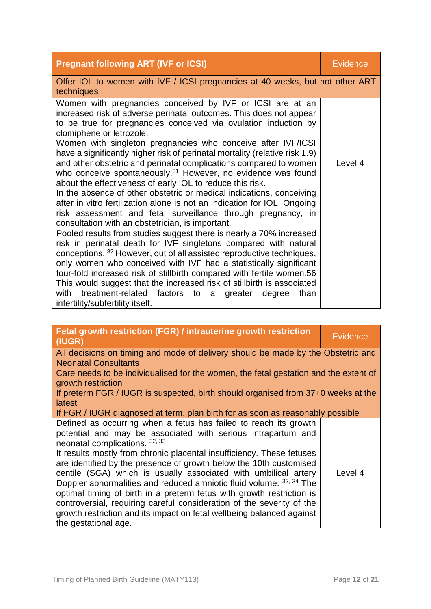| <b>Pregnant following ART (IVF or ICSI)</b>                                                                                                                                                                                                                                                                                                                                                                                                                                                                                                                                                                                                                                                                                                                                                                                                                         | Evidence |
|---------------------------------------------------------------------------------------------------------------------------------------------------------------------------------------------------------------------------------------------------------------------------------------------------------------------------------------------------------------------------------------------------------------------------------------------------------------------------------------------------------------------------------------------------------------------------------------------------------------------------------------------------------------------------------------------------------------------------------------------------------------------------------------------------------------------------------------------------------------------|----------|
| Offer IOL to women with IVF / ICSI pregnancies at 40 weeks, but not other ART<br>techniques                                                                                                                                                                                                                                                                                                                                                                                                                                                                                                                                                                                                                                                                                                                                                                         |          |
| Women with pregnancies conceived by IVF or ICSI are at an<br>increased risk of adverse perinatal outcomes. This does not appear<br>to be true for pregnancies conceived via ovulation induction by<br>clomiphene or letrozole.<br>Women with singleton pregnancies who conceive after IVF/ICSI<br>have a significantly higher risk of perinatal mortality (relative risk 1.9)<br>and other obstetric and perinatal complications compared to women<br>who conceive spontaneously. <sup>31</sup> However, no evidence was found<br>about the effectiveness of early IOL to reduce this risk.<br>In the absence of other obstetric or medical indications, conceiving<br>after in vitro fertilization alone is not an indication for IOL. Ongoing<br>risk assessment and fetal surveillance through pregnancy, in<br>consultation with an obstetrician, is important. | Level 4  |
| Pooled results from studies suggest there is nearly a 70% increased<br>risk in perinatal death for IVF singletons compared with natural<br>conceptions. 32 However, out of all assisted reproductive techniques,<br>only women who conceived with IVF had a statistically significant<br>four-fold increased risk of stillbirth compared with fertile women.56<br>This would suggest that the increased risk of stillbirth is associated<br>with treatment-related factors to a<br>greater<br>degree<br>than<br>infertility/subfertility itself.                                                                                                                                                                                                                                                                                                                    |          |

| Fetal growth restriction (FGR) / intrauterine growth restriction<br>(IUGR)                                                                                                                                                                                                                                                                                                                                                                                                                                                                                                                                                                                                                                     | <b>Evidence</b> |  |
|----------------------------------------------------------------------------------------------------------------------------------------------------------------------------------------------------------------------------------------------------------------------------------------------------------------------------------------------------------------------------------------------------------------------------------------------------------------------------------------------------------------------------------------------------------------------------------------------------------------------------------------------------------------------------------------------------------------|-----------------|--|
| All decisions on timing and mode of delivery should be made by the Obstetric and                                                                                                                                                                                                                                                                                                                                                                                                                                                                                                                                                                                                                               |                 |  |
| <b>Neonatal Consultants</b>                                                                                                                                                                                                                                                                                                                                                                                                                                                                                                                                                                                                                                                                                    |                 |  |
| Care needs to be individualised for the women, the fetal gestation and the extent of<br>growth restriction                                                                                                                                                                                                                                                                                                                                                                                                                                                                                                                                                                                                     |                 |  |
| If preterm FGR / IUGR is suspected, birth should organised from 37+0 weeks at the<br>latest                                                                                                                                                                                                                                                                                                                                                                                                                                                                                                                                                                                                                    |                 |  |
| If FGR / IUGR diagnosed at term, plan birth for as soon as reasonably possible                                                                                                                                                                                                                                                                                                                                                                                                                                                                                                                                                                                                                                 |                 |  |
| Defined as occurring when a fetus has failed to reach its growth<br>potential and may be associated with serious intrapartum and<br>neonatal complications. 32, 33<br>It results mostly from chronic placental insufficiency. These fetuses<br>are identified by the presence of growth below the 10th customised<br>centile (SGA) which is usually associated with umbilical artery<br>Doppler abnormalities and reduced amniotic fluid volume. 32, 34 The<br>optimal timing of birth in a preterm fetus with growth restriction is<br>controversial, requiring careful consideration of the severity of the<br>growth restriction and its impact on fetal wellbeing balanced against<br>the gestational age. | Level 4         |  |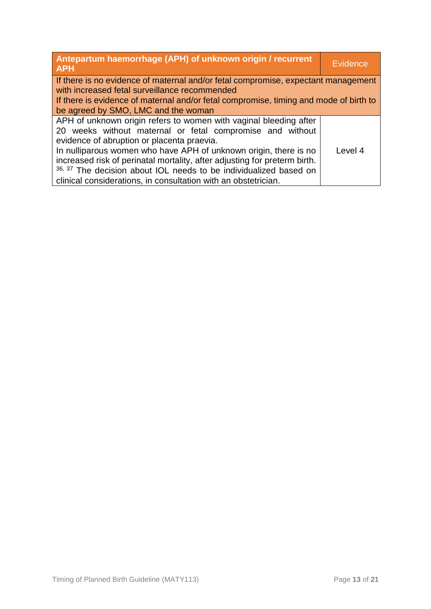| Antepartum haemorrhage (APH) of unknown origin / recurrent<br><b>APH</b>                                                                                                                                                                                                                                                                                                                                                                                             | Evidence |
|----------------------------------------------------------------------------------------------------------------------------------------------------------------------------------------------------------------------------------------------------------------------------------------------------------------------------------------------------------------------------------------------------------------------------------------------------------------------|----------|
| If there is no evidence of maternal and/or fetal compromise, expectant management<br>with increased fetal surveillance recommended<br>If there is evidence of maternal and/or fetal compromise, timing and mode of birth to<br>be agreed by SMO, LMC and the woman                                                                                                                                                                                                   |          |
| APH of unknown origin refers to women with vaginal bleeding after<br>20 weeks without maternal or fetal compromise and without<br>evidence of abruption or placenta praevia.<br>In nulliparous women who have APH of unknown origin, there is no<br>increased risk of perinatal mortality, after adjusting for preterm birth.<br>36, 37 The decision about IOL needs to be individualized based on<br>clinical considerations, in consultation with an obstetrician. | Level 4  |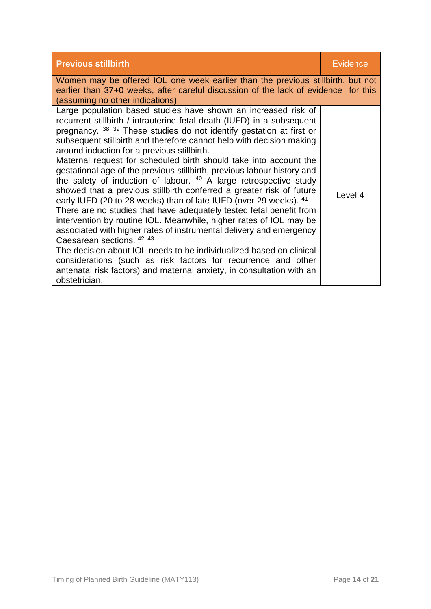| <b>Previous stillbirth</b>                                                                                                                                                                                                                                                                                                                                                                                                                                                                                                                                                                                                                                                                                                                                                                                                                                                                                                                                                                                                                                                                                                                                                                       | <b>Evidence</b> |  |
|--------------------------------------------------------------------------------------------------------------------------------------------------------------------------------------------------------------------------------------------------------------------------------------------------------------------------------------------------------------------------------------------------------------------------------------------------------------------------------------------------------------------------------------------------------------------------------------------------------------------------------------------------------------------------------------------------------------------------------------------------------------------------------------------------------------------------------------------------------------------------------------------------------------------------------------------------------------------------------------------------------------------------------------------------------------------------------------------------------------------------------------------------------------------------------------------------|-----------------|--|
| Women may be offered IOL one week earlier than the previous stillbirth, but not<br>earlier than 37+0 weeks, after careful discussion of the lack of evidence for this<br>(assuming no other indications)                                                                                                                                                                                                                                                                                                                                                                                                                                                                                                                                                                                                                                                                                                                                                                                                                                                                                                                                                                                         |                 |  |
| Large population based studies have shown an increased risk of<br>recurrent stillbirth / intrauterine fetal death (IUFD) in a subsequent<br>pregnancy. 38, 39 These studies do not identify gestation at first or<br>subsequent stillbirth and therefore cannot help with decision making<br>around induction for a previous stillbirth.<br>Maternal request for scheduled birth should take into account the<br>gestational age of the previous stillbirth, previous labour history and<br>the safety of induction of labour. $40$ A large retrospective study<br>showed that a previous stillbirth conferred a greater risk of future<br>early IUFD (20 to 28 weeks) than of late IUFD (over 29 weeks). 41<br>There are no studies that have adequately tested fetal benefit from<br>intervention by routine IOL. Meanwhile, higher rates of IOL may be<br>associated with higher rates of instrumental delivery and emergency<br>Caesarean sections. 42, 43<br>The decision about IOL needs to be individualized based on clinical<br>considerations (such as risk factors for recurrence and other<br>antenatal risk factors) and maternal anxiety, in consultation with an<br>obstetrician. | Level 4         |  |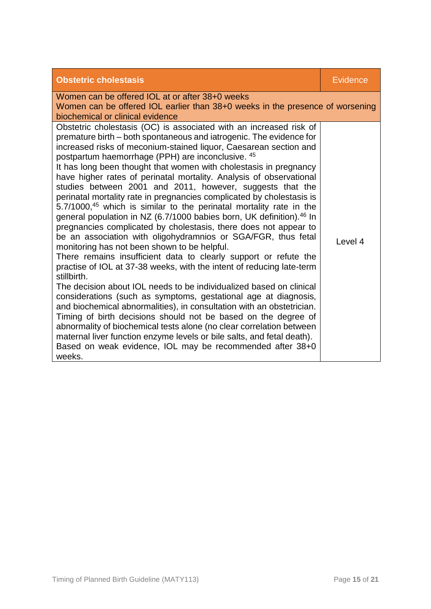| <b>Obstetric cholestasis</b>                                                                                                                                                                                                                                                                                                                                                                                                                                                                                                                                                                                                                                                                                                                                                                                                                                                                                                                                                                                                                                                                                                                                                                                                                                                                                                                                                                                                                                                                                                                                                                | Evidence |  |
|---------------------------------------------------------------------------------------------------------------------------------------------------------------------------------------------------------------------------------------------------------------------------------------------------------------------------------------------------------------------------------------------------------------------------------------------------------------------------------------------------------------------------------------------------------------------------------------------------------------------------------------------------------------------------------------------------------------------------------------------------------------------------------------------------------------------------------------------------------------------------------------------------------------------------------------------------------------------------------------------------------------------------------------------------------------------------------------------------------------------------------------------------------------------------------------------------------------------------------------------------------------------------------------------------------------------------------------------------------------------------------------------------------------------------------------------------------------------------------------------------------------------------------------------------------------------------------------------|----------|--|
| Women can be offered IOL at or after 38+0 weeks<br>Women can be offered IOL earlier than 38+0 weeks in the presence of worsening<br>biochemical or clinical evidence                                                                                                                                                                                                                                                                                                                                                                                                                                                                                                                                                                                                                                                                                                                                                                                                                                                                                                                                                                                                                                                                                                                                                                                                                                                                                                                                                                                                                        |          |  |
| Obstetric cholestasis (OC) is associated with an increased risk of<br>premature birth – both spontaneous and iatrogenic. The evidence for<br>increased risks of meconium-stained liquor, Caesarean section and<br>postpartum haemorrhage (PPH) are inconclusive. 45<br>It has long been thought that women with cholestasis in pregnancy<br>have higher rates of perinatal mortality. Analysis of observational<br>studies between 2001 and 2011, however, suggests that the<br>perinatal mortality rate in pregnancies complicated by cholestasis is<br>5.7/1000, <sup>45</sup> which is similar to the perinatal mortality rate in the<br>general population in NZ (6.7/1000 babies born, UK definition). <sup>46</sup> In<br>pregnancies complicated by cholestasis, there does not appear to<br>be an association with oligohydramnios or SGA/FGR, thus fetal<br>monitoring has not been shown to be helpful.<br>There remains insufficient data to clearly support or refute the<br>practise of IOL at 37-38 weeks, with the intent of reducing late-term<br>stillbirth.<br>The decision about IOL needs to be individualized based on clinical<br>considerations (such as symptoms, gestational age at diagnosis,<br>and biochemical abnormalities), in consultation with an obstetrician.<br>Timing of birth decisions should not be based on the degree of<br>abnormality of biochemical tests alone (no clear correlation between<br>maternal liver function enzyme levels or bile salts, and fetal death).<br>Based on weak evidence, IOL may be recommended after 38+0<br>weeks. | Level 4  |  |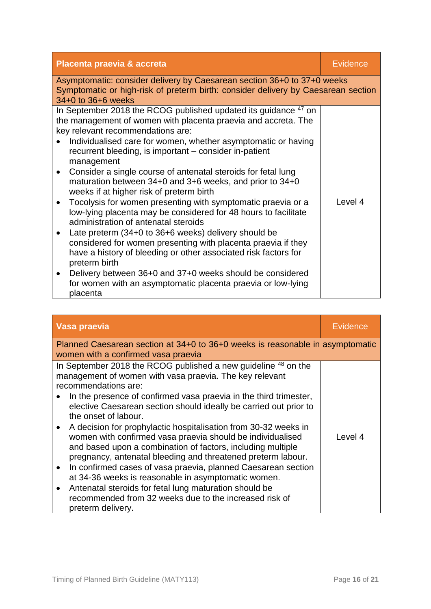| <b>Placenta praevia &amp; accreta</b>                                                                                                                        | <b>Evidence</b> |  |
|--------------------------------------------------------------------------------------------------------------------------------------------------------------|-----------------|--|
| Asymptomatic: consider delivery by Caesarean section 36+0 to 37+0 weeks<br>Symptomatic or high-risk of preterm birth: consider delivery by Caesarean section |                 |  |
| 34+0 to 36+6 weeks                                                                                                                                           |                 |  |
| In September 2018 the RCOG published updated its guidance <sup>47</sup> on                                                                                   |                 |  |
| the management of women with placenta praevia and accreta. The                                                                                               |                 |  |
| key relevant recommendations are:<br>Individualised care for women, whether asymptomatic or having                                                           |                 |  |
| recurrent bleeding, is important – consider in-patient                                                                                                       |                 |  |
| management                                                                                                                                                   |                 |  |
| Consider a single course of antenatal steroids for fetal lung<br>$\bullet$                                                                                   |                 |  |
| maturation between 34+0 and 3+6 weeks, and prior to 34+0                                                                                                     |                 |  |
| weeks if at higher risk of preterm birth                                                                                                                     |                 |  |
| Tocolysis for women presenting with symptomatic praevia or a<br>$\bullet$                                                                                    | Level 4         |  |
| low-lying placenta may be considered for 48 hours to facilitate<br>administration of antenatal steroids                                                      |                 |  |
| Late preterm (34+0 to 36+6 weeks) delivery should be<br>$\bullet$                                                                                            |                 |  |
| considered for women presenting with placenta praevia if they                                                                                                |                 |  |
| have a history of bleeding or other associated risk factors for                                                                                              |                 |  |
| preterm birth                                                                                                                                                |                 |  |
| Delivery between 36+0 and 37+0 weeks should be considered<br>$\bullet$                                                                                       |                 |  |
| for women with an asymptomatic placenta praevia or low-lying                                                                                                 |                 |  |
| placenta                                                                                                                                                     |                 |  |

| Vasa praevia                                                                                                                                                                                                                                                                                                                                                                                                                                                                                                                                                                                                                                                                                                                                                                                                                                                                                           | <b>Evidence</b> |  |
|--------------------------------------------------------------------------------------------------------------------------------------------------------------------------------------------------------------------------------------------------------------------------------------------------------------------------------------------------------------------------------------------------------------------------------------------------------------------------------------------------------------------------------------------------------------------------------------------------------------------------------------------------------------------------------------------------------------------------------------------------------------------------------------------------------------------------------------------------------------------------------------------------------|-----------------|--|
| Planned Caesarean section at 34+0 to 36+0 weeks is reasonable in asymptomatic<br>women with a confirmed vasa praevia                                                                                                                                                                                                                                                                                                                                                                                                                                                                                                                                                                                                                                                                                                                                                                                   |                 |  |
| In September 2018 the RCOG published a new guideline <sup>48</sup> on the<br>management of women with vasa praevia. The key relevant<br>recommendations are:<br>In the presence of confirmed vasa praevia in the third trimester,<br>elective Caesarean section should ideally be carried out prior to<br>the onset of labour.<br>A decision for prophylactic hospitalisation from 30-32 weeks in<br>$\bullet$<br>women with confirmed vasa praevia should be individualised<br>and based upon a combination of factors, including multiple<br>pregnancy, antenatal bleeding and threatened preterm labour.<br>In confirmed cases of vasa praevia, planned Caesarean section<br>$\bullet$<br>at 34-36 weeks is reasonable in asymptomatic women.<br>Antenatal steroids for fetal lung maturation should be<br>$\bullet$<br>recommended from 32 weeks due to the increased risk of<br>preterm delivery. | Level 4         |  |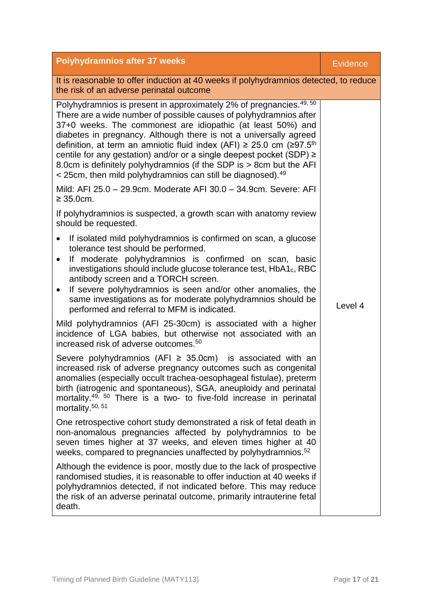| <b>Polyhydramnios after 37 weeks</b>                                                                                                                                                                                                                                                                                                                                                                                                                                                                                                                                                                            | <b>Evidence</b> |  |
|-----------------------------------------------------------------------------------------------------------------------------------------------------------------------------------------------------------------------------------------------------------------------------------------------------------------------------------------------------------------------------------------------------------------------------------------------------------------------------------------------------------------------------------------------------------------------------------------------------------------|-----------------|--|
| It is reasonable to offer induction at 40 weeks if polyhydramnios detected, to reduce<br>the risk of an adverse perinatal outcome                                                                                                                                                                                                                                                                                                                                                                                                                                                                               |                 |  |
| Polyhydramnios is present in approximately 2% of pregnancies. <sup>49, 50</sup><br>There are a wide number of possible causes of polyhydramnios after<br>37+0 weeks. The commonest are idiopathic (at least 50%) and<br>diabetes in pregnancy. Although there is not a universally agreed<br>definition, at term an amniotic fluid index (AFI) $\geq$ 25.0 cm ( $\geq$ 97.5 <sup>th</sup><br>centile for any gestation) and/or or a single deepest pocket (SDP) ≥<br>8.0cm is definitely polyhydramnios (if the SDP is > 8cm but the AFI<br>$\leq$ 25cm, then mild polyhydramnios can still be diagnosed). $49$ |                 |  |
| Mild: AFI 25.0 - 29.9cm. Moderate AFI 30.0 - 34.9cm. Severe: AFI<br>$\geq 35.0$ cm.                                                                                                                                                                                                                                                                                                                                                                                                                                                                                                                             |                 |  |
| If polyhydramnios is suspected, a growth scan with anatomy review<br>should be requested.                                                                                                                                                                                                                                                                                                                                                                                                                                                                                                                       |                 |  |
| If isolated mild polyhydramnios is confirmed on scan, a glucose<br>$\bullet$<br>tolerance test should be performed.<br>If moderate polyhydramnios is confirmed on scan, basic<br>$\bullet$<br>investigations should include glucose tolerance test, HbA1 <sub>c</sub> , RBC<br>antibody screen and a TORCH screen.<br>If severe polyhydramnios is seen and/or other anomalies, the<br>$\bullet$<br>same investigations as for moderate polyhydramnios should be<br>performed and referral to MFM is indicated.                                                                                                  | Level 4         |  |
| Mild polyhydramnios (AFI 25-30cm) is associated with a higher<br>incidence of LGA babies, but otherwise not associated with an<br>increased risk of adverse outcomes. <sup>50</sup>                                                                                                                                                                                                                                                                                                                                                                                                                             |                 |  |
| Severe polyhydramnios (AFI $\geq$ 35.0cm) is associated with an<br>increased risk of adverse pregnancy outcomes such as congenital<br>anomalies (especially occult trachea-oesophageal fistulae), preterm<br>birth (iatrogenic and spontaneous), SGA, aneuploidy and perinatal<br>mortality. <sup>49, 50</sup> There is a two- to five-fold increase in perinatal<br>mortality. <sup>50, 51</sup>                                                                                                                                                                                                               |                 |  |
| One retrospective cohort study demonstrated a risk of fetal death in<br>non-anomalous pregnancies affected by polyhydramnios to be<br>seven times higher at 37 weeks, and eleven times higher at 40<br>weeks, compared to pregnancies unaffected by polyhydramnios. <sup>52</sup>                                                                                                                                                                                                                                                                                                                               |                 |  |
| Although the evidence is poor, mostly due to the lack of prospective<br>randomised studies, it is reasonable to offer induction at 40 weeks if<br>polyhydramnios detected, if not indicated before. This may reduce<br>the risk of an adverse perinatal outcome, primarily intrauterine fetal<br>death.                                                                                                                                                                                                                                                                                                         |                 |  |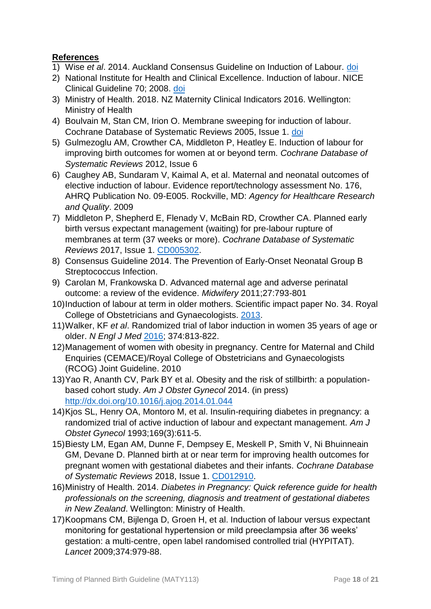# **References**

- 1) Wise *et al*. 2014. Auckland Consensus Guideline on Induction of Labour. [doi](http://nationalwomenshealth.adhb.govt.nz/Portals/0/Documents/Referral%20forms/FINAL%20Auckland%20IOL%20consensus%20guideline.pdf)
- 2) National Institute for Health and Clinical Excellence. Induction of labour. NICE Clinical Guideline 70; 2008. [doi](https://www.nhs.uk/planners/pregnancycareplanner/documents/nice_induction_of_labour.pdf)
- 3) Ministry of Health. 2018. NZ Maternity Clinical Indicators 2016. Wellington: Ministry of Health
- 4) Boulvain M, Stan CM, Irion O. Membrane sweeping for induction of labour. Cochrane Database of Systematic Reviews 2005, Issue 1. [doi](https://www.cochranelibrary.com/cdsr/doi/10.1002/14651858.CD000451.pub2/media/CDSR/CD000451/CD000451.pdf)
- 5) Gulmezoglu AM, Crowther CA, Middleton P, Heatley E. Induction of labour for improving birth outcomes for women at or beyond term. *Cochrane Database of Systematic Reviews* 2012, Issue 6
- 6) Caughey AB, Sundaram V, Kaimal A, et al. Maternal and neonatal outcomes of elective induction of labour. Evidence report/technology assessment No. 176, AHRQ Publication No. 09-E005. Rockville, MD: *Agency for Healthcare Research and Quality*. 2009
- 7) Middleton P, Shepherd E, Flenady V, McBain RD, Crowther CA. Planned early birth versus expectant management (waiting) for pre-labour rupture of membranes at term (37 weeks or more). *Cochrane Database of Systematic Reviews* 2017, Issue 1. [CD005302.](https://www.cochranelibrary.com/cdsr/doi/10.1002/14651858.CD005302.pub3)
- 8) Consensus Guideline 2014. The Prevention of Early-Onset Neonatal Group B Streptococcus Infection.
- 9) Carolan M, Frankowska D. Advanced maternal age and adverse perinatal outcome: a review of the evidence. *Midwifery* 2011;27:793-801
- 10)Induction of labour at term in older mothers. Scientific impact paper No. 34. Royal College of Obstetricians and Gynaecologists. [2013.](https://www.rcog.org.uk/en/guidelines-research-services/guidelines/sip34/)
- 11)Walker, KF *et al*. Randomized trial of labor induction in women 35 years of age or older. *N Engl J Med* [2016;](https://www.nejm.org/doi/10.1056/NEJMoa1509117) 374:813-822.
- 12)Management of women with obesity in pregnancy. Centre for Maternal and Child Enquiries (CEMACE)/Royal College of Obstetricians and Gynaecologists (RCOG) Joint Guideline. 2010
- 13)Yao R, Ananth CV, Park BY et al. Obesity and the risk of stillbirth: a populationbased cohort study. *Am J Obstet Gynecol* 2014. (in press) <http://dx.doi.org/10.1016/j.ajog.2014.01.044>
- 14)Kjos SL, Henry OA, Montoro M, et al. Insulin-requiring diabetes in pregnancy: a randomized trial of active induction of labour and expectant management. *Am J Obstet Gynecol* 1993;169(3):611-5.
- 15)Biesty LM, Egan AM, Dunne F, Dempsey E, Meskell P, Smith V, Ni Bhuinneain GM, Devane D. Planned birth at or near term for improving health outcomes for pregnant women with gestational diabetes and their infants. *Cochrane Database of Systematic Reviews* 2018, Issue 1. [CD012910.](https://www.cochranelibrary.com/cdsr/doi/10.1002/14651858.CD012910/epdf/full)
- 16)Ministry of Health. 2014. *Diabetes in Pregnancy: Quick reference guide for health professionals on the screening, diagnosis and treatment of gestational diabetes in New Zealand*. Wellington: Ministry of Health.
- 17)Koopmans CM, Bijlenga D, Groen H, et al. Induction of labour versus expectant monitoring for gestational hypertension or mild preeclampsia after 36 weeks' gestation: a multi-centre, open label randomised controlled trial (HYPITAT). *Lancet* 2009;374:979-88.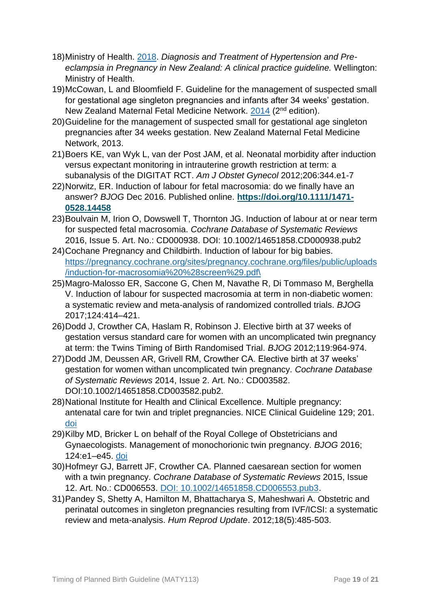- 18)Ministry of Health. [2018.](https://www.health.govt.nz/system/files/documents/publications/diagnosis-and-treatment-of-hypertension-and-pre-eclampsia-in-pregnancy-in-new-zealand-v3.pdf) *Diagnosis and Treatment of Hypertension and Preeclampsia in Pregnancy in New Zealand: A clinical practice guideline.* Wellington: Ministry of Health.
- 19)McCowan, L and Bloomfield F. Guideline for the management of suspected small for gestational age singleton pregnancies and infants after 34 weeks' gestation. New Zealand Maternal Fetal Medicine Network. [2014](file://///wn0hvhome/hvhome/EEH01/My%20Documents/Guidelines%20&%20articles/Obstetrics/SGA/NZMFM%20SGA%20guideline%20Final.pdf) (2nd edition).
- 20)Guideline for the management of suspected small for gestational age singleton pregnancies after 34 weeks gestation. New Zealand Maternal Fetal Medicine Network, 2013.
- 21)Boers KE, van Wyk L, van der Post JAM, et al. Neonatal morbidity after induction versus expectant monitoring in intrauterine growth restriction at term: a subanalysis of the DIGITAT RCT. *Am J Obstet Gynecol* 2012;206:344.e1-7
- 22)Norwitz, ER. Induction of labour for fetal macrosomia: do we finally have an answer? *BJOG* Dec 2016. Published online. **[https://doi.org/10.1111/1471-](https://doi.org/10.1111/1471-0528.14458) [0528.14458](https://doi.org/10.1111/1471-0528.14458)**
- 23)Boulvain M, Irion O, Dowswell T, Thornton JG. Induction of labour at or near term for suspected fetal macrosomia. *Cochrane Database of Systematic Reviews* 2016, Issue 5. Art. No.: CD000938. DOI: 10.1002/14651858.CD000938.pub2
- 24)Cochane Pregnancy and Childbirth. Induction of labour for big babies. [https://pregnancy.cochrane.org/sites/pregnancy.cochrane.org/files/public/uploads](https://pregnancy.cochrane.org/sites/pregnancy.cochrane.org/files/public/uploads/induction-for-macrosomia%20%28screen%29.pdf/) [/induction-for-macrosomia%20%28screen%29.pdf\](https://pregnancy.cochrane.org/sites/pregnancy.cochrane.org/files/public/uploads/induction-for-macrosomia%20%28screen%29.pdf/)
- 25)Magro-Malosso ER, Saccone G, Chen M, Navathe R, Di Tommaso M, Berghella V. Induction of labour for suspected macrosomia at term in non-diabetic women: a systematic review and meta-analysis of randomized controlled trials. *BJOG* 2017;124:414–421.
- 26)Dodd J, Crowther CA, Haslam R, Robinson J. Elective birth at 37 weeks of gestation versus standard care for women with an uncomplicated twin pregnancy at term: the Twins Timing of Birth Randomised Trial. *BJOG* 2012;119:964-974.
- 27)Dodd JM, Deussen AR, Grivell RM, Crowther CA. Elective birth at 37 weeks' gestation for women withan uncomplicated twin pregnancy. *Cochrane Database of Systematic Reviews* 2014, Issue 2. Art. No.: CD003582. DOI:10.1002/14651858.CD003582.pub2.
- 28)National Institute for Health and Clinical Excellence. Multiple pregnancy: antenatal care for twin and triplet pregnancies. NICE Clinical Guideline 129; 201. [doi](https://www.nice.org.uk/guidance/cg129/resources/multiple-pregnancy-antenatal-care-for-twin-and-triplet-pregnancies-pdf-35109458300869)
- 29)Kilby MD, Bricker L on behalf of the Royal College of Obstetricians and Gynaecologists. Management of monochorionic twin pregnancy. *BJOG* 2016; 124:e1–e45. [doi](https://obgyn.onlinelibrary.wiley.com/doi/epdf/10.1111/1471-0528.14188)
- 30)Hofmeyr GJ, Barrett JF, Crowther CA. Planned caesarean section for women with a twin pregnancy. *Cochrane Database of Systematic Reviews* 2015, Issue 12. Art. No.: CD006553. [DOI: 10.1002/14651858.CD006553.pub3.](https://www.cochranelibrary.com/cdsr/doi/10.1002/14651858.CD006553.pub3/epdf/full)
- 31)Pandey S, Shetty A, Hamilton M, Bhattacharya S, Maheshwari A. Obstetric and perinatal outcomes in singleton pregnancies resulting from IVF/ICSI: a systematic review and meta-analysis. *Hum Reprod Update*. 2012;18(5):485-503.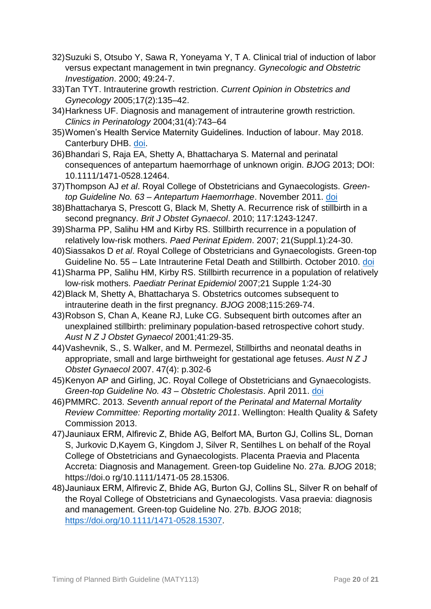- 32)Suzuki S, Otsubo Y, Sawa R, Yoneyama Y, T A. Clinical trial of induction of labor versus expectant management in twin pregnancy. *Gynecologic and Obstetric Investigation*. 2000; 49:24-7.
- 33)Tan TYT. Intrauterine growth restriction. *Current Opinion in Obstetrics and Gynecology* 2005;17(2):135–42.
- 34)Harkness UF. Diagnosis and management of intrauterine growth restriction. *Clinics in Perinatology* 2004;31(4):743–64
- 35)Women's Health Service Maternity Guidelines. Induction of labour. May 2018. Canterbury DHB. [doi.](http://www.cdhb.health.nz/Hospitals-Services/Health-Professionals/maternity-care-guidelines/Documents/GLM0035-Induction-of-Labour.pdf)
- 36)Bhandari S, Raja EA, Shetty A, Bhattacharya S. Maternal and perinatal consequences of antepartum haemorrhage of unknown origin. *BJOG* 2013; DOI: 10.1111/1471-0528.12464.
- 37)Thompson AJ *et al*. Royal College of Obstetricians and Gynaecologists. *Greentop Guideline No. 63 – Antepartum Haemorrhage*. November 2011. [doi](https://www.rcog.org.uk/globalassets/documents/guidelines/gtg_63.pdf)
- 38)Bhattacharya S, Prescott G, Black M, Shetty A. Recurrence risk of stillbirth in a second pregnancy. *Brit J Obstet Gynaecol*. 2010; 117:1243-1247.
- 39)Sharma PP, Salihu HM and Kirby RS. Stillbirth recurrence in a population of relatively low-risk mothers. *Paed Perinat Epidem*. 2007; 21(Suppl.1):24-30.
- 40)Siassakos D *et al*. Royal College of Obstetricians and Gynaecologists. Green-top Guideline No. 55 – Late Intrauterine Fetal Death and Stillbirth. October 2010. [doi](https://www.rcog.org.uk/globalassets/documents/guidelines/gtg_55.pdf)
- 41)Sharma PP, Salihu HM, Kirby RS. Stillbirth recurrence in a population of relatively low-risk mothers. *Paediatr Perinat Epidemiol* 2007;21 Supple 1:24-30
- 42)Black M, Shetty A, Bhattacharya S. Obstetrics outcomes subsequent to intrauterine death in the first pregnancy. *BJOG* 2008;115:269-74.
- 43)Robson S, Chan A, Keane RJ, Luke CG. Subsequent birth outcomes after an unexplained stillbirth: preliminary population-based retrospective cohort study. *Aust N Z J Obstet Gynaecol* 2001;41:29-35.
- 44)Vashevnik, S., S. Walker, and M. Permezel, Stillbirths and neonatal deaths in appropriate, small and large birthweight for gestational age fetuses. *Aust N Z J Obstet Gynaecol* 2007. 47(4): p.302-6
- 45)Kenyon AP and Girling, JC. Royal College of Obstetricians and Gynaecologists. *Green-top Guideline No. 43 – Obstetric Cholestasis*. April 2011. [doi](https://www.rcog.org.uk/globalassets/documents/guidelines/gtg_43.pdf)
- 46)PMMRC. 2013. *Seventh annual report of the Perinatal and Maternal Mortality Review Committee: Reporting mortality 2011*. Wellington: Health Quality & Safety Commission 2013.
- 47)Jauniaux ERM, Alfirevic Z, Bhide AG, Belfort MA, Burton GJ, Collins SL, Dornan S, Jurkovic D,Kayem G, Kingdom J, Silver R, Sentilhes L on behalf of the Royal College of Obstetricians and Gynaecologists. Placenta Praevia and Placenta Accreta: Diagnosis and Management. Green-top Guideline No. 27a. *BJOG* 2018; https://doi.o rg/10.1111/1471-05 28.15306.
- 48)Jauniaux ERM, Alfirevic Z, Bhide AG, Burton GJ, Collins SL, Silver R on behalf of the Royal College of Obstetricians and Gynaecologists. Vasa praevia: diagnosis and management. Green-top Guideline No. 27b. *BJOG* 2018; [https://doi.org/10.1111/1471-0528.15307.](https://doi.org/10.1111/1471-0528.15307)